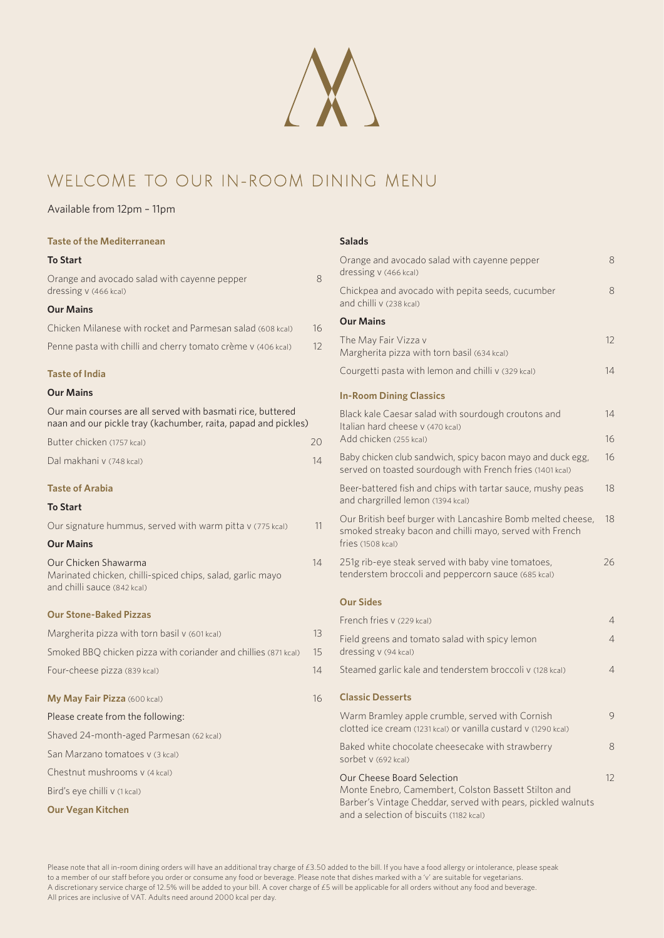# WELCOME TO OUR IN-ROOM Dining Menu

#### Available from 12pm – 11pm

| <b>Taste of the Mediterranean</b>                                                                                             |    | <b>Salads</b>                                                                                                           |                |
|-------------------------------------------------------------------------------------------------------------------------------|----|-------------------------------------------------------------------------------------------------------------------------|----------------|
| <b>To Start</b>                                                                                                               |    | Orange and avocado salad with cayenne pepper                                                                            | 8              |
| Orange and avocado salad with cayenne pepper                                                                                  | 8  | dressing v (466 kcal)                                                                                                   |                |
| dressing v (466 kcal)                                                                                                         |    | Chickpea and avocado with pepita seeds, cucumber<br>and chilli v (238 kcal)                                             | 8              |
| <b>Our Mains</b>                                                                                                              |    | <b>Our Mains</b>                                                                                                        |                |
| Chicken Milanese with rocket and Parmesan salad (608 kcal)                                                                    | 16 |                                                                                                                         | 12             |
| Penne pasta with chilli and cherry tomato crème v (406 kcal)                                                                  | 12 | The May Fair Vizza v<br>Margherita pizza with torn basil (634 kcal)                                                     |                |
| <b>Taste of India</b>                                                                                                         |    | Courgetti pasta with lemon and chilli v (329 kcal)                                                                      | 14             |
| <b>Our Mains</b>                                                                                                              |    | <b>In-Room Dining Classics</b>                                                                                          |                |
| Our main courses are all served with basmati rice, buttered<br>naan and our pickle tray (kachumber, raita, papad and pickles) |    | Black kale Caesar salad with sourdough croutons and<br>Italian hard cheese v (470 kcal)                                 | 14             |
| Butter chicken (1757 kcal)                                                                                                    | 20 | Add chicken (255 kcal)                                                                                                  | 16             |
| Dal makhani v (748 kcal)                                                                                                      | 14 | Baby chicken club sandwich, spicy bacon mayo and duck egg,<br>served on toasted sourdough with French fries (1401 kcal) | 16             |
| <b>Taste of Arabia</b>                                                                                                        |    | Beer-battered fish and chips with tartar sauce, mushy peas                                                              | 18             |
| <b>To Start</b>                                                                                                               |    | and chargrilled lemon (1394 kcal)                                                                                       |                |
| Our signature hummus, served with warm pitta v (775 kcal)                                                                     | 11 | Our British beef burger with Lancashire Bomb melted cheese,<br>smoked streaky bacon and chilli mayo, served with French | 18             |
| <b>Our Mains</b>                                                                                                              |    | fries (1508 kcal)                                                                                                       |                |
| Our Chicken Shawarma<br>Marinated chicken, chilli-spiced chips, salad, garlic mayo<br>and chilli sauce (842 kcal)             | 14 | 251g rib-eye steak served with baby vine tomatoes,<br>tenderstem broccoli and peppercorn sauce (685 kcal)               | 26             |
|                                                                                                                               |    | <b>Our Sides</b>                                                                                                        |                |
| <b>Our Stone-Baked Pizzas</b>                                                                                                 |    | French fries y (229 kcal)                                                                                               | $\overline{4}$ |
| Margherita pizza with torn basil v (601 kcal)                                                                                 | 13 | Field greens and tomato salad with spicy lemon                                                                          | $\overline{4}$ |
| Smoked BBQ chicken pizza with coriander and chillies (871 kcal)                                                               | 15 | dressing v (94 kcal)                                                                                                    |                |
| Four-cheese pizza (839 kcal)                                                                                                  | 14 | Steamed garlic kale and tenderstem broccoli v (128 kcal)                                                                | $\overline{4}$ |
| My May Fair Pizza (600 kcal)                                                                                                  | 16 | <b>Classic Desserts</b>                                                                                                 |                |
| Please create from the following:                                                                                             |    | Warm Bramley apple crumble, served with Cornish                                                                         | 9              |
| Shaved 24-month-aged Parmesan (62 kcal)                                                                                       |    | clotted ice cream (1231 kcal) or vanilla custard v (1290 kcal)                                                          |                |
| San Marzano tomatoes v (3 kcal)                                                                                               |    | Baked white chocolate cheesecake with strawberry<br>sorbet v (692 kcal)                                                 | 8              |
| Chestnut mushrooms v (4 kcal)                                                                                                 |    | Our Cheese Board Selection                                                                                              | 12             |
| Bird's eye chilli v (1 kcal)                                                                                                  |    | Monte Enebro, Camembert, Colston Bassett Stilton and<br>Barber's Vintage Cheddar, served with pears, pickled walnuts    |                |
| <b>Our Vegan Kitchen</b>                                                                                                      |    | and a selection of biscuits (1182 kcal)                                                                                 |                |

Please note that all in-room dining orders will have an additional tray charge of £3.50 added to the bill. If you have a food allergy or intolerance, please speak to a member of our staff before you order or consume any food or beverage. Please note that dishes marked with a 'v' are suitable for vegetarians. A discretionary service charge of 12.5% will be added to your bill. A cover charge of £5 will be applicable for all orders without any food and beverage. All prices are inclusive of VAT. Adults need around 2000 kcal per day.